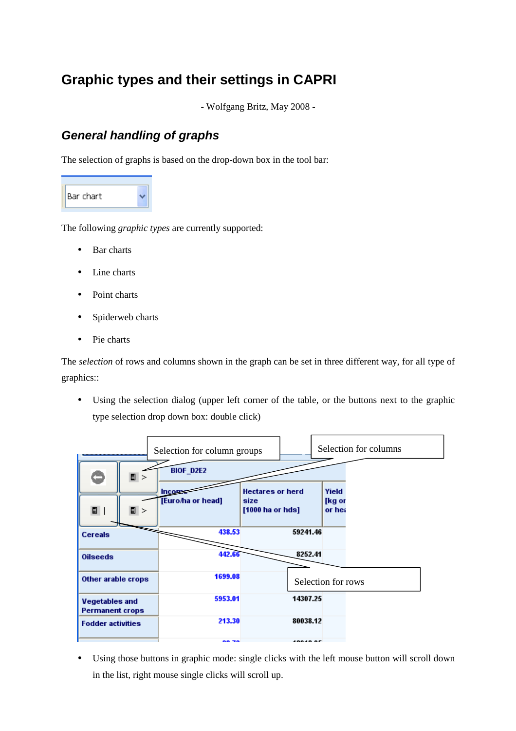# **Graphic types and their settings in CAPRI**

- Wolfgang Britz, May 2008 -

### *General handling of graphs*

The selection of graphs is based on the drop-down box in the tool bar:



The following *graphic types* are currently supported:

- Bar charts
- Line charts
- Point charts
- Spiderweb charts
- Pie charts

The *selection* of rows and columns shown in the graph can be set in three different way, for all type of graphics::

• Using the selection dialog (upper left corner of the table, or the buttons next to the graphic type selection drop down box: double click)

|                                                 |     | Selection for column groups |                                                     |                           | Selection for columns |
|-------------------------------------------------|-----|-----------------------------|-----------------------------------------------------|---------------------------|-----------------------|
|                                                 | E > | <b>BIOF_D2E2</b>            |                                                     |                           |                       |
| 目                                               | E > | Incom<br>[Euro/ha or head]  | <b>Hectares or herd</b><br>size<br>[1000 ha or hds] | Yield<br>[kg or<br>or hea |                       |
| <b>Cereals</b>                                  |     | 438.53                      | 59241.46                                            |                           |                       |
| <b>Oilseeds</b>                                 |     | 442.66                      |                                                     | 8252.41                   |                       |
| Other arable crops                              |     | 1699.08                     | Selection for rows                                  |                           |                       |
| <b>Vegetables and</b><br><b>Permanent crops</b> |     | 5953.01                     | 14307.25                                            |                           |                       |
| <b>Fodder activities</b>                        |     | 213.30                      | 80038.12                                            |                           |                       |
|                                                 |     | <b>AA SA</b>                | 10010000                                            |                           |                       |

• Using those buttons in graphic mode: single clicks with the left mouse button will scroll down in the list, right mouse single clicks will scroll up.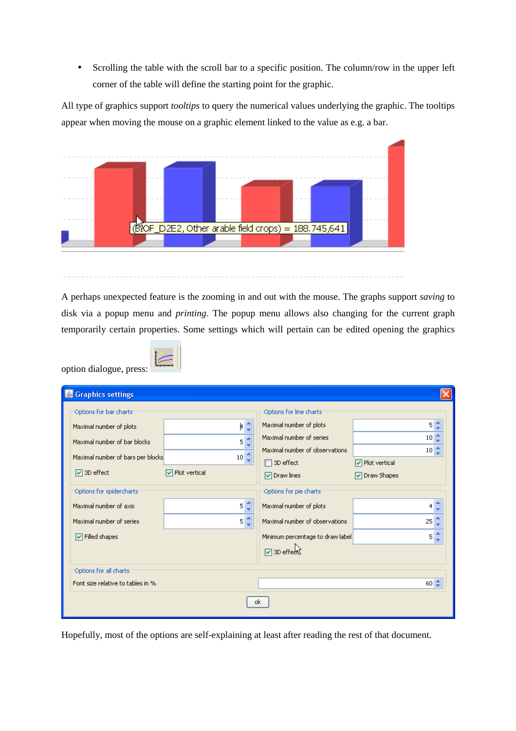• Scrolling the table with the scroll bar to a specific position. The column/row in the upper left corner of the table will define the starting point for the graphic.

All type of graphics support *tooltips* to query the numerical values underlying the graphic. The tooltips appear when moving the mouse on a graphic element linked to the value as e.g. a bar.



A perhaps unexpected feature is the zooming in and out with the mouse. The graphs support *saving* to disk via a popup menu and *printing*. The popup menu allows also changing for the current graph temporarily certain properties. Some settings which will pertain can be edited opening the graphics

| option dialogue, press: |  |
|-------------------------|--|
|                         |  |

| <b>S</b> Graphics settings        |                                    |                                  |                        |  |  |  |  |  |  |
|-----------------------------------|------------------------------------|----------------------------------|------------------------|--|--|--|--|--|--|
| Options for bar charts            |                                    | Options for line charts          |                        |  |  |  |  |  |  |
| Maximal number of plots           | ۴¢                                 | Maximal number of plots          | 5 <sup>2</sup>         |  |  |  |  |  |  |
| Maximal number of bar blocks      | $5\frac{4}{3}$                     | Maximal number of series         | 10 <sup>1</sup>        |  |  |  |  |  |  |
| Maximal number of bars per blocks | $10 \frac{4}{3}$                   | Maximal number of observations   | 10 <sup>2</sup>        |  |  |  |  |  |  |
|                                   |                                    | $\Box$ 3D effect                 | <b>▽</b> Plot vertical |  |  |  |  |  |  |
| $\sqrt{ }$ 3D effect              | $\boxed{\checkmark}$ Plot vertical | <b>▽</b> Draw lines              | ☑ Draw Shapes          |  |  |  |  |  |  |
| Options for spidercharts          |                                    | Options for pie charts           |                        |  |  |  |  |  |  |
| Maximal number of axis            | $5\frac{4}{3}$                     | Maximal number of plots          | 4                      |  |  |  |  |  |  |
| Maximal number of series          | $5\frac{4}{3}$                     | Maximal number of observations   | 25                     |  |  |  |  |  |  |
| $\boxed{\vee}$ Filled shapes      |                                    | Minimum percentage to draw label | 5                      |  |  |  |  |  |  |
|                                   |                                    | ☑ 3D effects                     |                        |  |  |  |  |  |  |
| Options for all charts:           |                                    |                                  |                        |  |  |  |  |  |  |
| Font size relative to tables in % |                                    |                                  | $60 \div$              |  |  |  |  |  |  |
| ok.                               |                                    |                                  |                        |  |  |  |  |  |  |

Hopefully, most of the options are self-explaining at least after reading the rest of that document.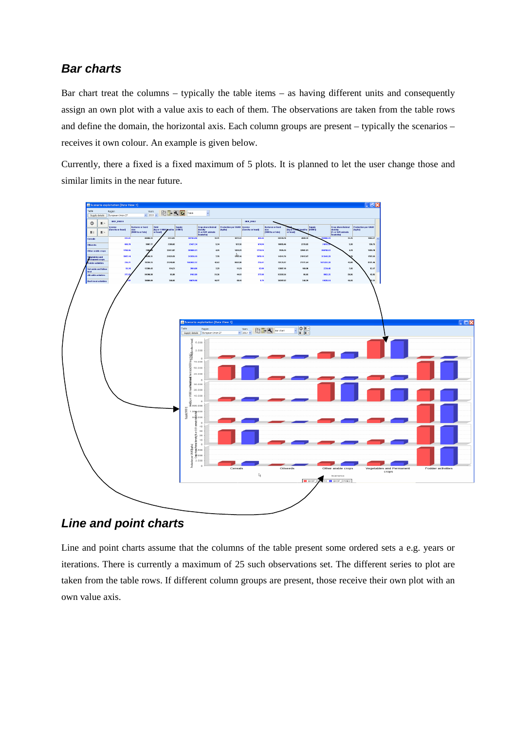#### *Bar charts*

Bar chart treat the columns – typically the table items – as having different units and consequently assign an own plot with a value axis to each of them. The observations are taken from the table rows and define the domain, the horizontal axis. Each column groups are present – typically the scenarios – receives it own colour. An example is given below.

Currently, there a fixed is a fixed maximum of 5 plots. It is planned to let the user change those and similar limits in the near future.



*Line and point charts*

Line and point charts assume that the columns of the table present some ordered sets a e.g. years or iterations. There is currently a maximum of 25 such observations set. The different series to plot are taken from the table rows. If different column groups are present, those receive their own plot with an own value axis.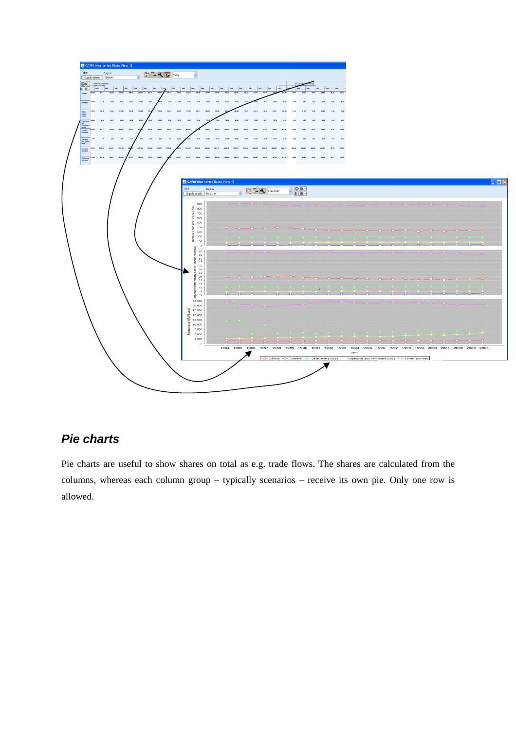

## *Pie charts*

Pie charts are useful to show shares on total as e.g. trade flows. The shares are calculated from the columns, whereas each column group – typically scenarios – receive its own pie. Only one row is allowed.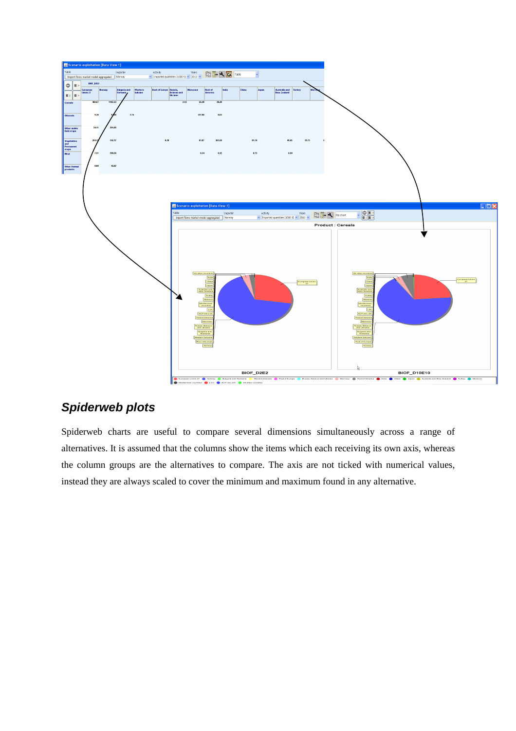

### *Spiderweb plots*

Spiderweb charts are useful to compare several dimensions simultaneously across a range of alternatives. It is assumed that the columns show the items which each receiving its own axis, whereas the column groups are the alternatives to compare. The axis are not ticked with numerical values, instead they are always scaled to cover the minimum and maximum found in any alternative.